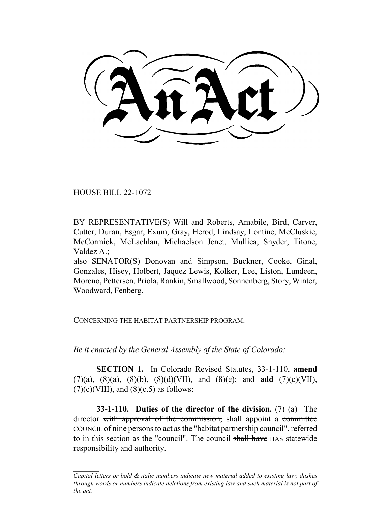HOUSE BILL 22-1072

BY REPRESENTATIVE(S) Will and Roberts, Amabile, Bird, Carver, Cutter, Duran, Esgar, Exum, Gray, Herod, Lindsay, Lontine, McCluskie, McCormick, McLachlan, Michaelson Jenet, Mullica, Snyder, Titone, Valdez A.;

also SENATOR(S) Donovan and Simpson, Buckner, Cooke, Ginal, Gonzales, Hisey, Holbert, Jaquez Lewis, Kolker, Lee, Liston, Lundeen, Moreno, Pettersen, Priola, Rankin, Smallwood, Sonnenberg, Story, Winter, Woodward, Fenberg.

CONCERNING THE HABITAT PARTNERSHIP PROGRAM.

*Be it enacted by the General Assembly of the State of Colorado:*

**SECTION 1.** In Colorado Revised Statutes, 33-1-110, **amend** (7)(a), (8)(a), (8)(b), (8)(d)(VII), and (8)(e); and **add** (7)(c)(VII),  $(7)(c)$ (VIII), and  $(8)(c.5)$  as follows:

**33-1-110. Duties of the director of the division.** (7) (a) The director with approval of the commission, shall appoint a committee COUNCIL of nine persons to act as the "habitat partnership council", referred to in this section as the "council". The council shall have HAS statewide responsibility and authority.

*Capital letters or bold & italic numbers indicate new material added to existing law; dashes through words or numbers indicate deletions from existing law and such material is not part of the act.*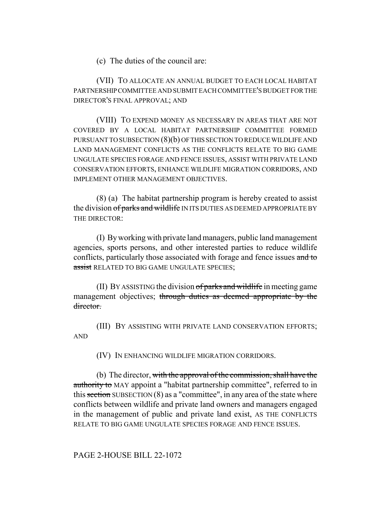(c) The duties of the council are:

(VII) TO ALLOCATE AN ANNUAL BUDGET TO EACH LOCAL HABITAT PARTNERSHIP COMMITTEE AND SUBMIT EACH COMMITTEE'S BUDGET FOR THE DIRECTOR'S FINAL APPROVAL; AND

(VIII) TO EXPEND MONEY AS NECESSARY IN AREAS THAT ARE NOT COVERED BY A LOCAL HABITAT PARTNERSHIP COMMITTEE FORMED PURSUANT TO SUBSECTION (8)(b) OF THIS SECTION TO REDUCE WILDLIFE AND LAND MANAGEMENT CONFLICTS AS THE CONFLICTS RELATE TO BIG GAME UNGULATE SPECIES FORAGE AND FENCE ISSUES, ASSIST WITH PRIVATE LAND CONSERVATION EFFORTS, ENHANCE WILDLIFE MIGRATION CORRIDORS, AND IMPLEMENT OTHER MANAGEMENT OBJECTIVES.

(8) (a) The habitat partnership program is hereby created to assist the division of parks and wildlife IN ITS DUTIES AS DEEMED APPROPRIATE BY THE DIRECTOR:

(I) By working with private land managers, public land management agencies, sports persons, and other interested parties to reduce wildlife conflicts, particularly those associated with forage and fence issues and to assist RELATED TO BIG GAME UNGULATE SPECIES;

(II) BY ASSISTING the division  $of$  parks and wildlife in meeting game management objectives; through duties as deemed appropriate by the director.

(III) BY ASSISTING WITH PRIVATE LAND CONSERVATION EFFORTS; AND

(IV) IN ENHANCING WILDLIFE MIGRATION CORRIDORS.

(b) The director, with the approval of the commission, shall have the authority to MAY appoint a "habitat partnership committee", referred to in this section SUBSECTION  $(8)$  as a "committee", in any area of the state where conflicts between wildlife and private land owners and managers engaged in the management of public and private land exist, AS THE CONFLICTS RELATE TO BIG GAME UNGULATE SPECIES FORAGE AND FENCE ISSUES.

PAGE 2-HOUSE BILL 22-1072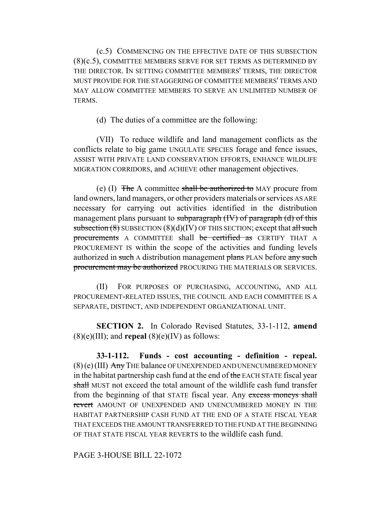(c.5) COMMENCING ON THE EFFECTIVE DATE OF THIS SUBSECTION (8)(c.5), COMMITTEE MEMBERS SERVE FOR SET TERMS AS DETERMINED BY THE DIRECTOR. IN SETTING COMMITTEE MEMBERS' TERMS, THE DIRECTOR MUST PROVIDE FOR THE STAGGERING OF COMMITTEE MEMBERS' TERMS AND MAY ALLOW COMMITTEE MEMBERS TO SERVE AN UNLIMITED NUMBER OF TERMS.

(d) The duties of a committee are the following:

(VII) To reduce wildlife and land management conflicts as the conflicts relate to big game UNGULATE SPECIES forage and fence issues, ASSIST WITH PRIVATE LAND CONSERVATION EFFORTS, ENHANCE WILDLIFE MIGRATION CORRIDORS, and ACHIEVE other management objectives.

(e) (I) The A committee shall be authorized to MAY procure from land owners, land managers, or other providers materials or services AS ARE necessary for carrying out activities identified in the distribution management plans pursuant to subparagraph (IV) of paragraph (d) of this subsection  $(8)$  SUBSECTION  $(8)(d)(IV)$  OF THIS SECTION; except that all such procurements A COMMITTEE shall be certified as CERTIFY THAT A PROCUREMENT IS within the scope of the activities and funding levels authorized in such A distribution management plans PLAN before any such procurement may be authorized PROCURING THE MATERIALS OR SERVICES.

(II) FOR PURPOSES OF PURCHASING, ACCOUNTING, AND ALL PROCUREMENT-RELATED ISSUES, THE COUNCIL AND EACH COMMITTEE IS A SEPARATE, DISTINCT, AND INDEPENDENT ORGANIZATIONAL UNIT.

**SECTION 2.** In Colorado Revised Statutes, 33-1-112, **amend**  $(8)(e)(III)$ ; and **repeal**  $(8)(e)(IV)$  as follows:

**33-1-112. Funds - cost accounting - definition - repeal.**  $(8)$  (e) (III) Any THE balance OF UNEXPENDED AND UNENCUMBERED MONEY in the habitat partnership cash fund at the end of the EACH STATE fiscal year shall MUST not exceed the total amount of the wildlife cash fund transfer from the beginning of that STATE fiscal year. Any excess moneys shall revert AMOUNT OF UNEXPENDED AND UNENCUMBERED MONEY IN THE HABITAT PARTNERSHIP CASH FUND AT THE END OF A STATE FISCAL YEAR THAT EXCEEDS THE AMOUNT TRANSFERRED TO THE FUND AT THE BEGINNING OF THAT STATE FISCAL YEAR REVERTS to the wildlife cash fund.

PAGE 3-HOUSE BILL 22-1072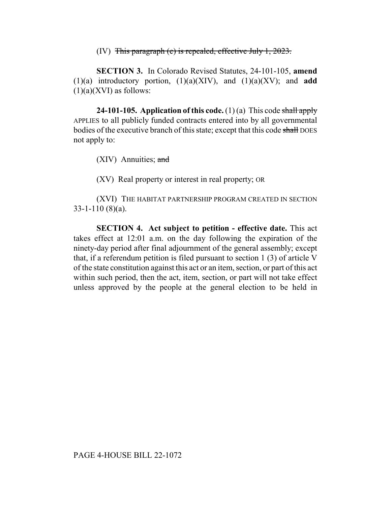(IV) This paragraph (e) is repealed, effective July 1, 2023.

**SECTION 3.** In Colorado Revised Statutes, 24-101-105, **amend** (1)(a) introductory portion, (1)(a)(XIV), and (1)(a)(XV); and **add**  $(1)(a)(XVI)$  as follows:

**24-101-105. Application of this code.** (1)(a) This code shall apply APPLIES to all publicly funded contracts entered into by all governmental bodies of the executive branch of this state; except that this code shall DOES not apply to:

(XIV) Annuities; and

(XV) Real property or interest in real property; OR

(XVI) THE HABITAT PARTNERSHIP PROGRAM CREATED IN SECTION 33-1-110 (8)(a).

**SECTION 4. Act subject to petition - effective date.** This act takes effect at 12:01 a.m. on the day following the expiration of the ninety-day period after final adjournment of the general assembly; except that, if a referendum petition is filed pursuant to section 1 (3) of article V of the state constitution against this act or an item, section, or part of this act within such period, then the act, item, section, or part will not take effect unless approved by the people at the general election to be held in